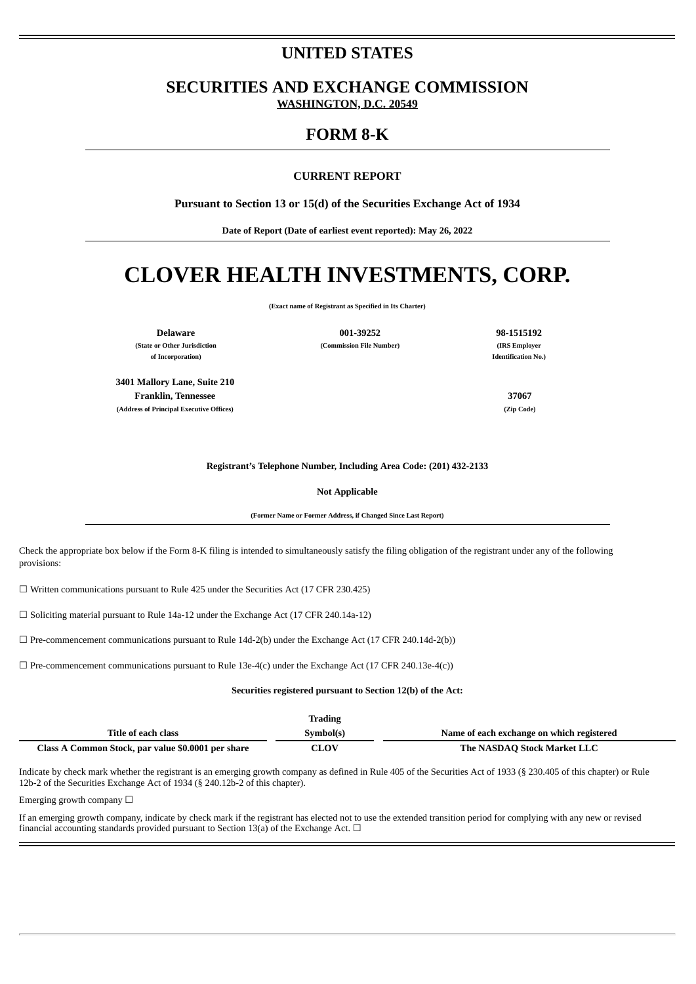# **UNITED STATES**

**SECURITIES AND EXCHANGE COMMISSION WASHINGTON, D.C. 20549**

# **FORM 8-K**

### **CURRENT REPORT**

**Pursuant to Section 13 or 15(d) of the Securities Exchange Act of 1934**

**Date of Report (Date of earliest event reported): May 26, 2022**

# **CLOVER HEALTH INVESTMENTS, CORP.**

**(Exact name of Registrant as Specified in Its Charter)**

**of Incorporation) Identification No.)**

**3401 Mallory Lane, Suite 210 Franklin, Tennessee 37067 (Address of Principal Executive Offices) (Zip Code)**

**Delaware 001-39252 98-1515192 (State or Other Jurisdiction (Commission File Number) (IRS Employer**

#### **Registrant's Telephone Number, Including Area Code: (201) 432-2133**

**Not Applicable**

**(Former Name or Former Address, if Changed Since Last Report)**

Check the appropriate box below if the Form 8-K filing is intended to simultaneously satisfy the filing obligation of the registrant under any of the following provisions:

 $\Box$  Written communications pursuant to Rule 425 under the Securities Act (17 CFR 230.425)

☐ Soliciting material pursuant to Rule 14a-12 under the Exchange Act (17 CFR 240.14a-12)

 $\Box$  Pre-commencement communications pursuant to Rule 14d-2(b) under the Exchange Act (17 CFR 240.14d-2(b))

 $\Box$  Pre-commencement communications pursuant to Rule 13e-4(c) under the Exchange Act (17 CFR 240.13e-4(c))

#### **Securities registered pursuant to Section 12(b) of the Act:**

|                                                    | Trading     |                                           |
|----------------------------------------------------|-------------|-------------------------------------------|
| Title of each class                                | Symbol(s)   | Name of each exchange on which registered |
| Class A Common Stock, par value \$0.0001 per share | <b>CLOV</b> | The NASDAO Stock Market LLC               |

Indicate by check mark whether the registrant is an emerging growth company as defined in Rule 405 of the Securities Act of 1933 (§ 230.405 of this chapter) or Rule 12b-2 of the Securities Exchange Act of 1934 (§ 240.12b-2 of this chapter).

Emerging growth company  $\Box$ 

If an emerging growth company, indicate by check mark if the registrant has elected not to use the extended transition period for complying with any new or revised financial accounting standards provided pursuant to Section 13(a) of the Exchange Act.  $\Box$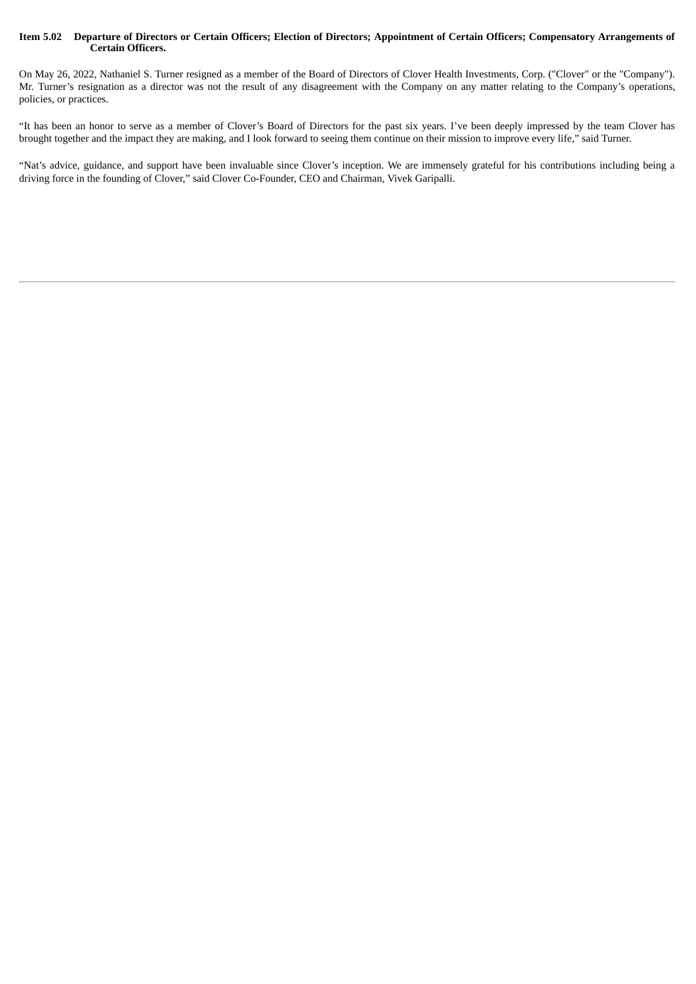#### Item 5.02 Departure of Directors or Certain Officers; Election of Directors; Appointment of Certain Officers; Compensatory Arrangements of **Certain Officers.**

On May 26, 2022, Nathaniel S. Turner resigned as a member of the Board of Directors of Clover Health Investments, Corp. ("Clover" or the "Company"). Mr. Turner's resignation as a director was not the result of any disagreement with the Company on any matter relating to the Company's operations, policies, or practices.

"It has been an honor to serve as a member of Clover's Board of Directors for the past six years. I've been deeply impressed by the team Clover has brought together and the impact they are making, and I look forward to seeing them continue on their mission to improve every life," said Turner.

"Nat's advice, guidance, and support have been invaluable since Clover's inception. We are immensely grateful for his contributions including being a driving force in the founding of Clover," said Clover Co-Founder, CEO and Chairman, Vivek Garipalli.